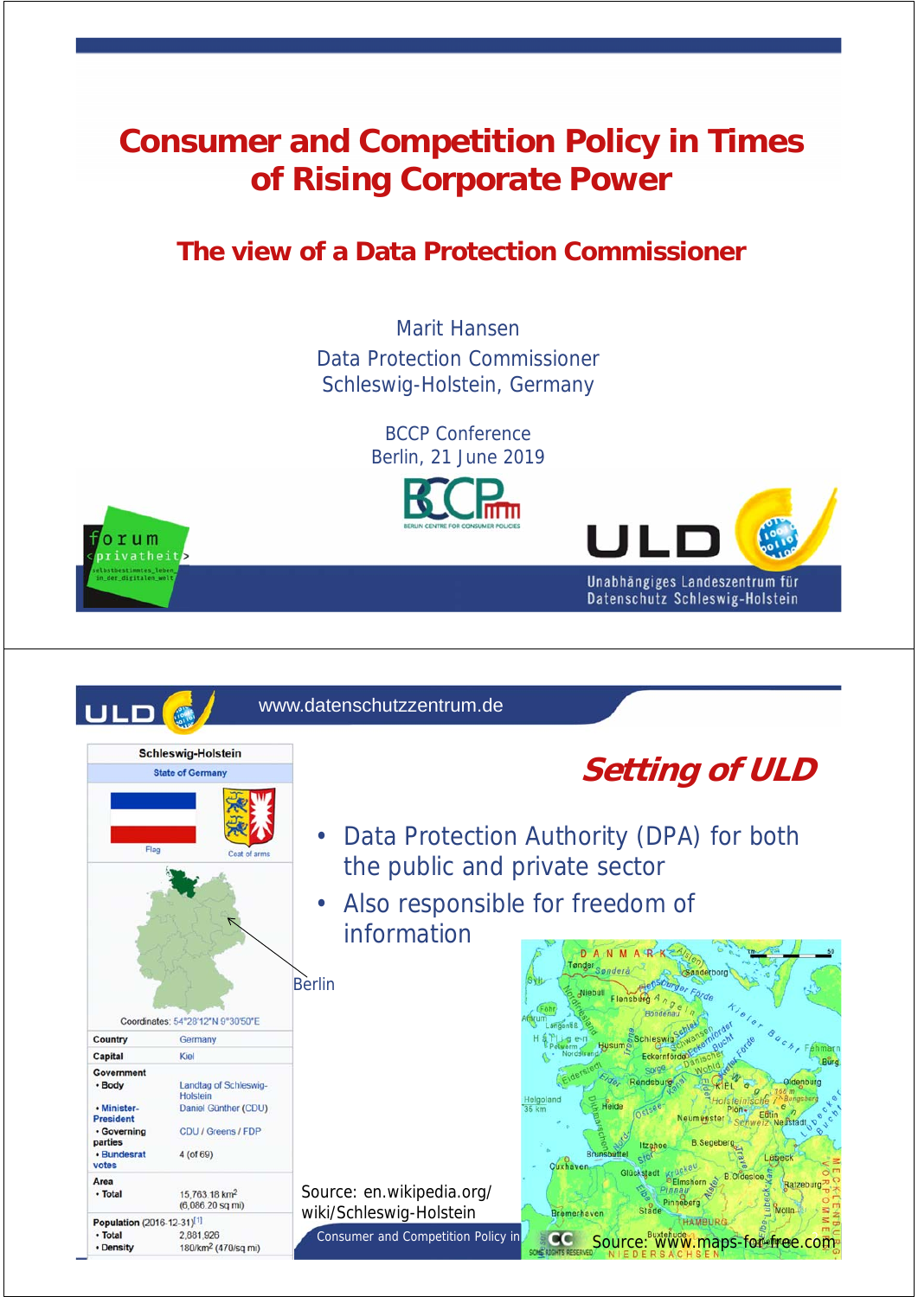### **Consumer and Competition Policy in Times of Rising Corporate Power**

#### **The view of a Data Protection Commissioner**

Marit Hansen Data Protection Commissioner Schleswig-Holstein, Germany

> BCCP Conference Berlin, 21 June 2019

> > Unabhängiges Landeszentrum für



 $O<sub>T</sub>$ um ivatheit

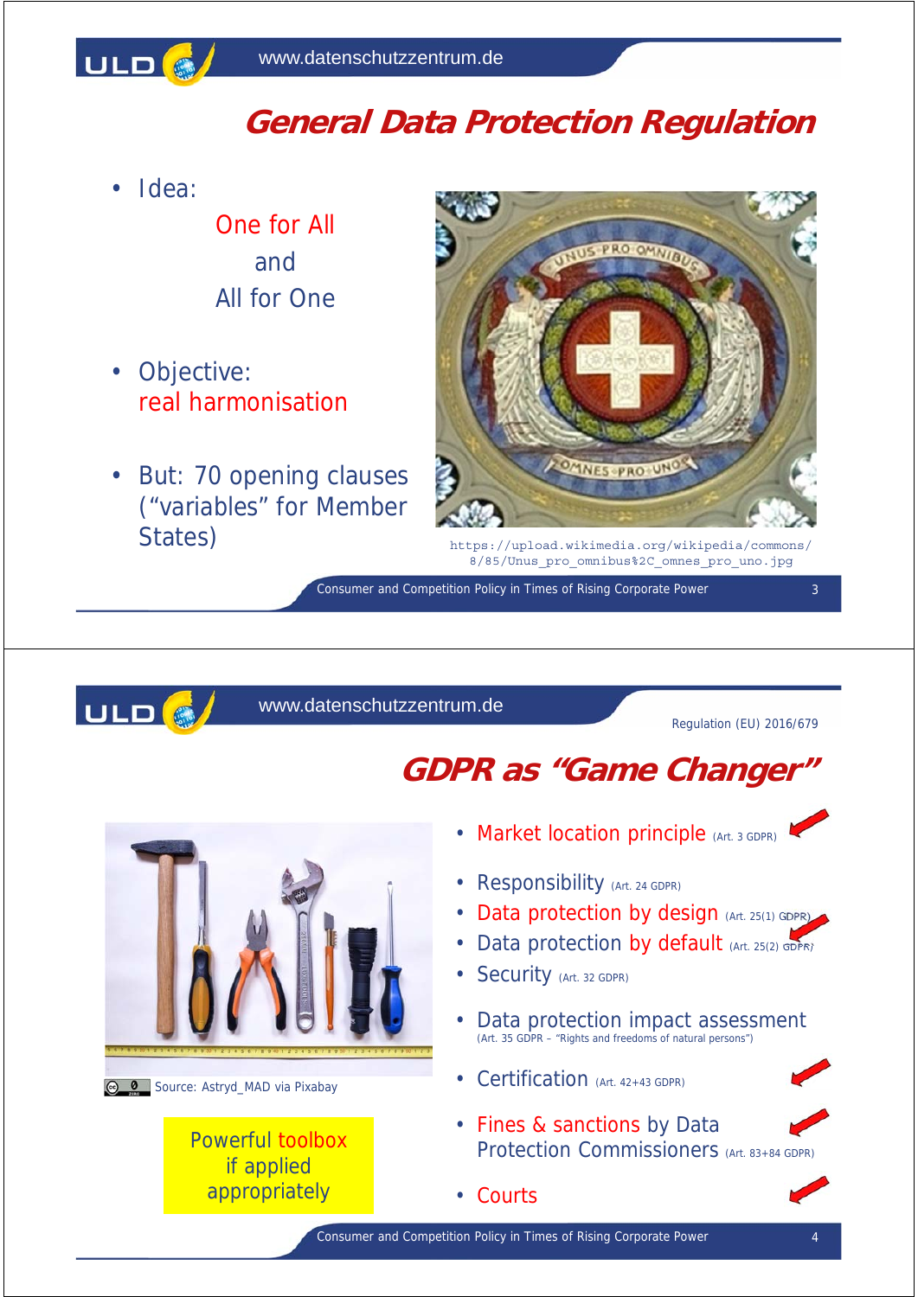

## **General Data Protection Regulation**

• Idea:

One for All and All for One

- Objective: real harmonisation
- But: 70 opening clauses ("variables" for Member States)



https://upload.wikimedia.org/wikipedia/commons/ 8/85/Unus\_pro\_omnibus%2C\_omnes\_pro\_uno.jpg

Consumer and Competition Policy in Times of Rising Corporate Power



#### www.datenschutzzentrum.de

Regulation (EU) 2016/679

3

## **GDPR as "Game Changer"**





#### Powerful toolbox if applied appropriately

- Market location principle (Art. 3 GDPR)
- **Responsibility** (Art. 24 GDPR)
- Data protection by design (Art. 25(1) GDPR)
- Data protection by default (Art. 25(2) GDPR)
- Security (Art. 32 GDPR)
- Data protection impact assessment (Art. 35 GDPR – "Rights and freedoms of natural persons")
- Certification (Art. 42+43 GDPR)
- Fines & sanctions by Data Protection Commissioners (Art. 83+84 GDPR)
- Courts

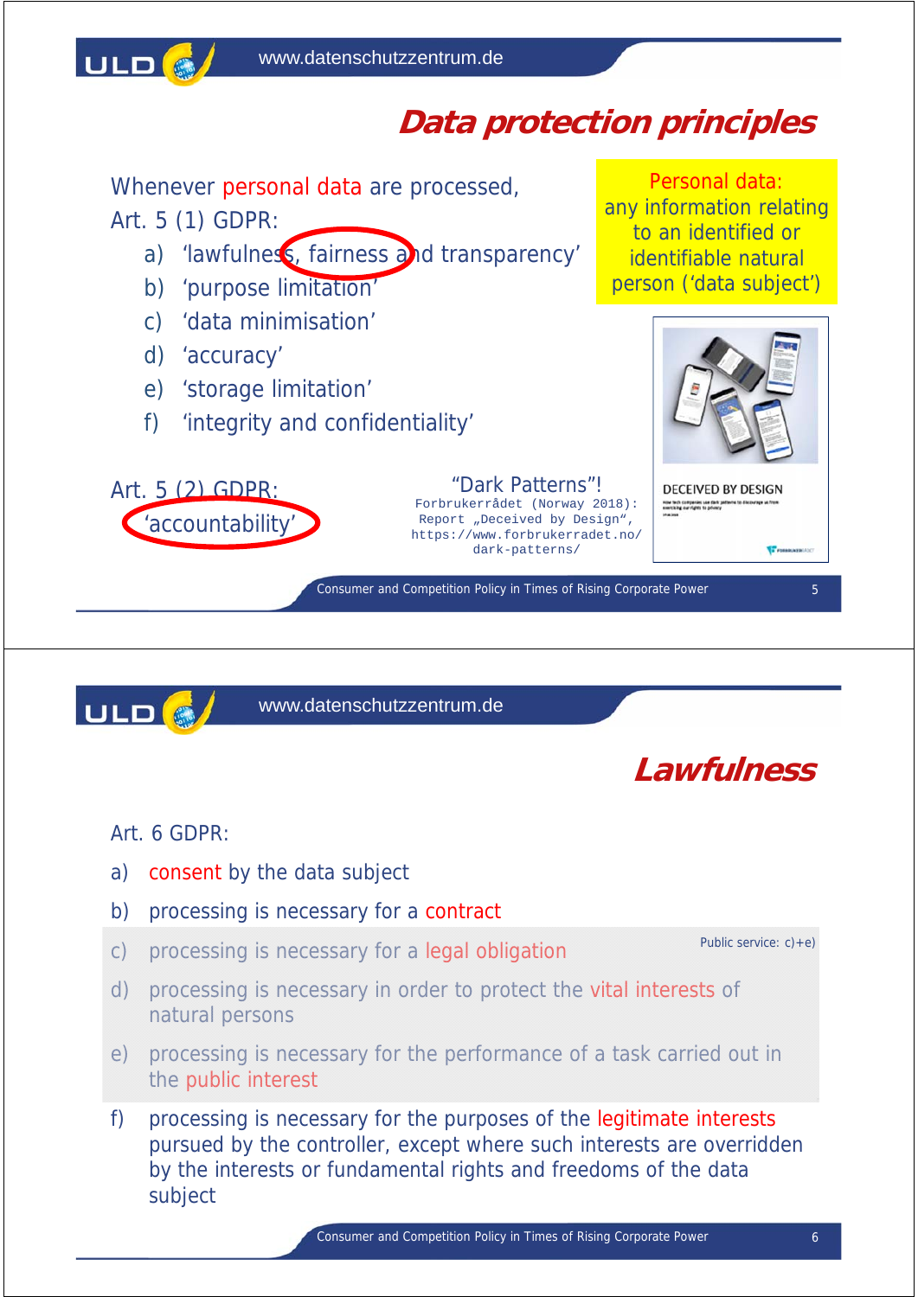ULD<sup>(@</sup>

# **Data protection principles**

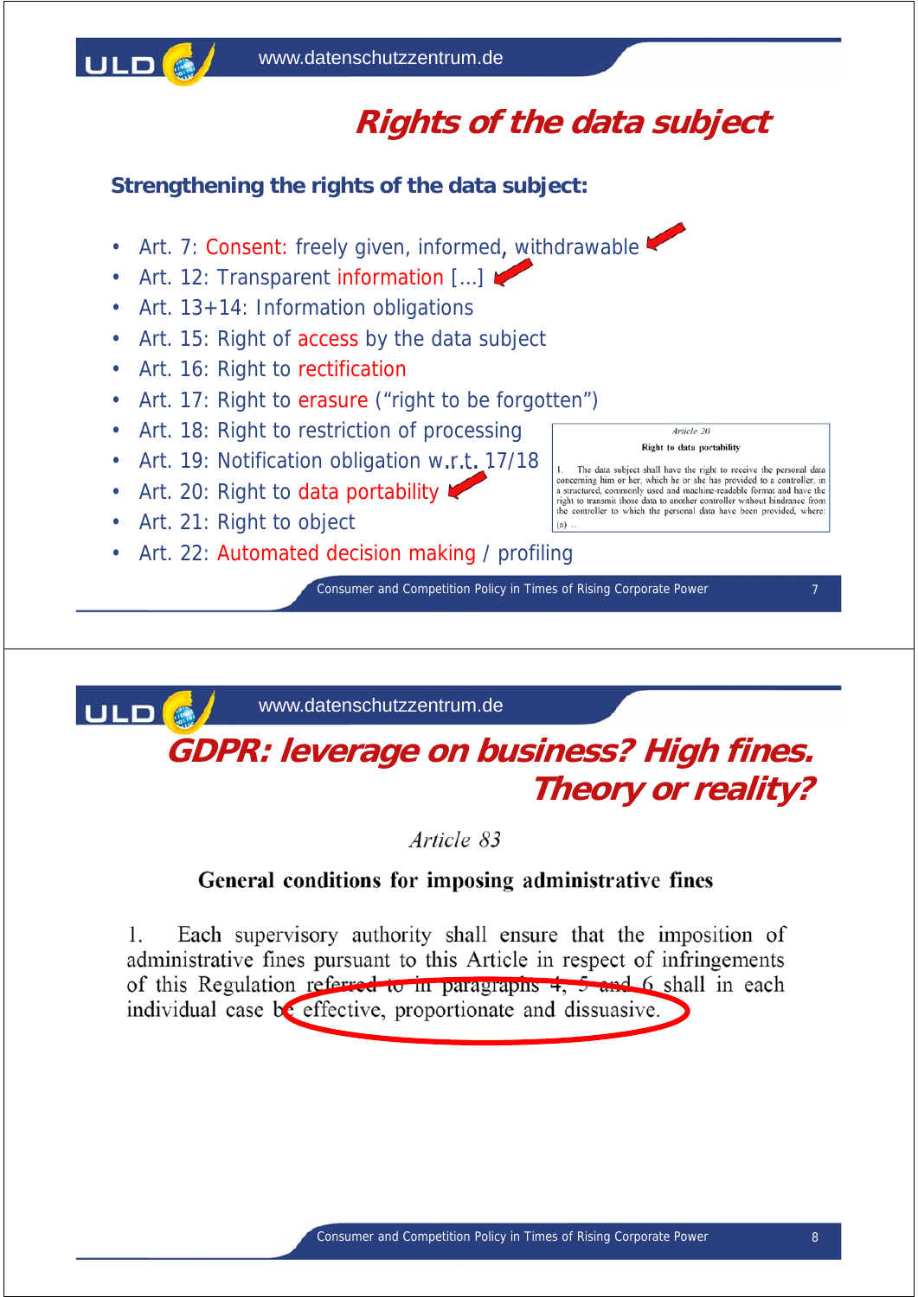

# **Rights of the data subject**

Article 20 Right to data portability The data subject shall have the right to receive the personal data concerning him or her, which he or she has provided to a controller, in<br>a structured, commonly used and machine-readable format and have the a structure, containing used and interactivelent virtual and the controller without hindrance from<br>the controller to which the personal data have been provided, where:

**Strengthening the rights of the data subject:**

- Art. 7: Consent: freely given, informed, withdrawable
- Art. 12: Transparent information [...]
- Art. 13+14: Information obligations
- Art. 15: Right of access by the data subject
- Art. 16: Right to rectification
- Art. 17: Right to erasure ("right to be forgotten")
- Art. 18: Right to restriction of processing
- Art. 19: Notification obligation w.r.t. 17/18
- Art. 20: Right to data portability
- Art. 21: Right to object
- Art. 22: Automated decision making / profiling

Consumer and Competition Policy in Times of Rising Corporate Power 7

 $(a)$ .

ULD<sup>6</sup>

www.datenschutzzentrum.de

### **GDPR: leverage on business? High fines. Theory or reality?**

Article 83

#### General conditions for imposing administrative fines

 $\mathbf{1}$ Each supervisory authority shall ensure that the imposition of administrative fines pursuant to this Article in respect of infringements of this Regulation referred to in paragraphs  $4, 5$  and 6 shall in each individual case be effective, proportionate and dissuasive.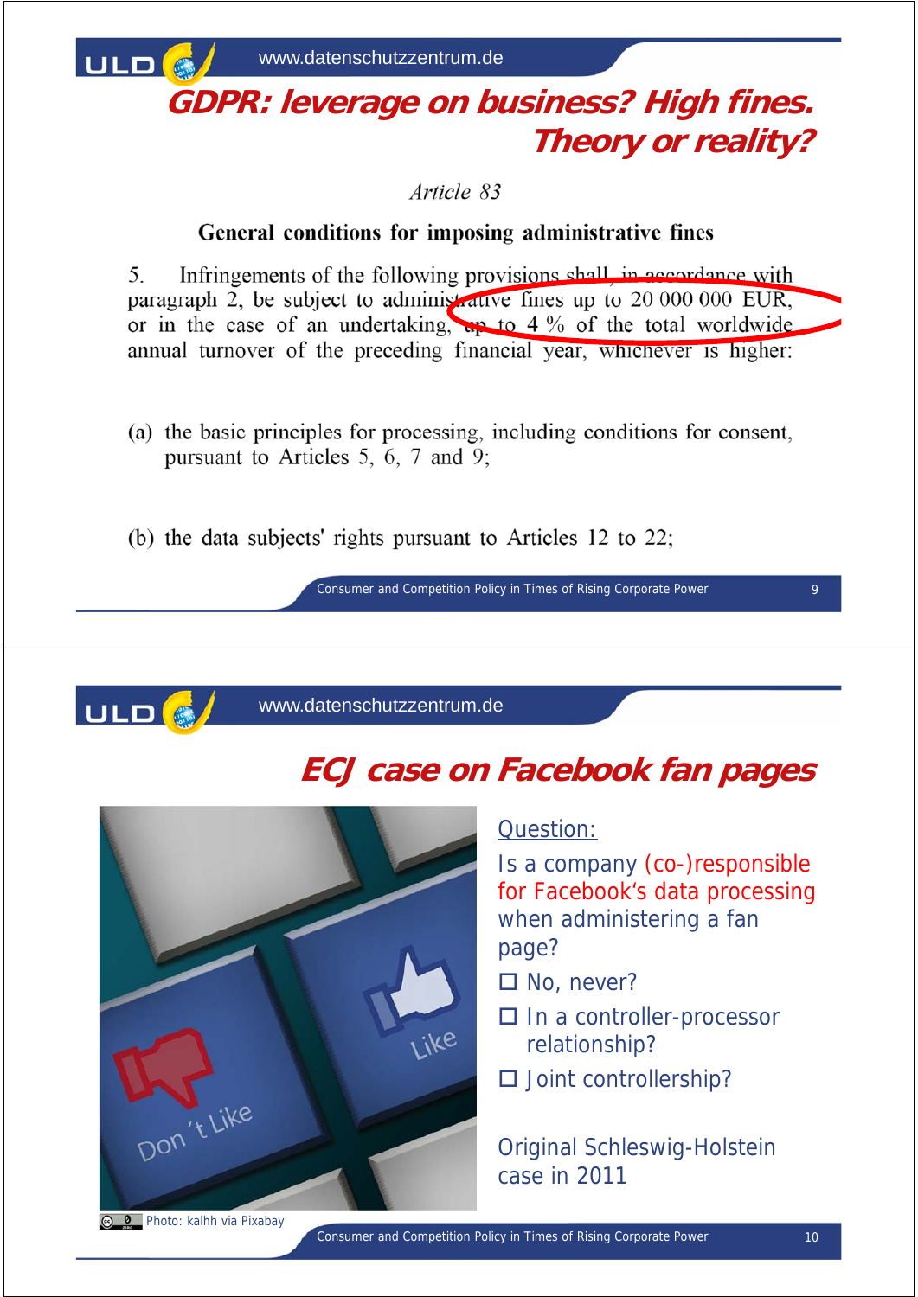

## **GDPR: leverage on business? High fines. Theory or reality?**

Article 83

#### General conditions for imposing administrative fines

5. Infringements of the following provisions shall in accordance with paragraph 2, be subject to administrative fines up to 20 000 000 EUR, or in the case of an undertaking, ap to 4 % of the total worldwide annual turnover of the preceding financial year, whichever is higher:

- (a) the basic principles for processing, including conditions for consent, pursuant to Articles 5, 6, 7 and 9;
- (b) the data subjects' rights pursuant to Articles 12 to 22;

Consumer and Competition Policy in Times of Rising Corporate Power 9



www.datenschutzzentrum.de

## **ECJ case on Facebook fan pages**



#### Question:

Is a company (co-)responsible for Facebook's data processing when administering a fan page?

- $\square$  No, never?
- □ In a controller-processor relationship?
- $\square$  Joint controllership?

Original Schleswig-Holstein case in 2011

**B** Photo: kalhh via Pixabay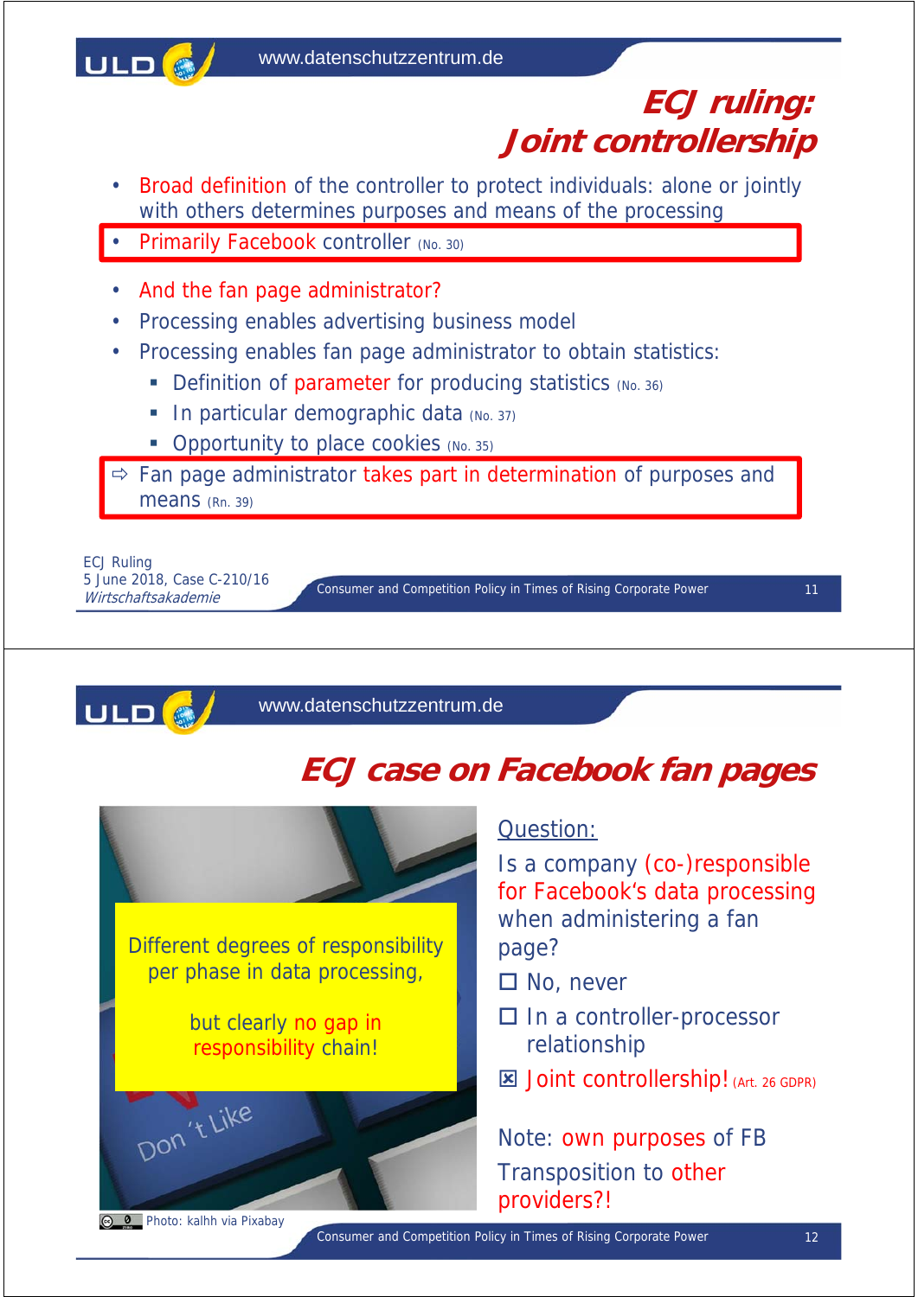

### **ECJ ruling: Joint controllership**

- Broad definition of the controller to protect individuals: alone or jointly with others determines purposes and means of the processing
- **Primarily Facebook controller (No. 30)**
- And the fan page administrator?
- Processing enables advertising business model
- Processing enables fan page administrator to obtain statistics:
	- Definition of parameter for producing statistics (No. 36)
	- $\blacksquare$  In particular demographic data (No. 37)
	- Opportunity to place cookies (No. 35)

 $\Rightarrow$  Fan page administrator takes part in determination of purposes and means (Rn. 39)

ECJ Ruling 5 June 2018, Case C-210/16<br>Wirtschaftsakademie

Consumer and Competition Policy in Times of Rising Corporate Power Wirtschaftsakademie <sup>11</sup>



www.datenschutzzentrum.de

## **ECJ case on Facebook fan pages**



#### Question:

Is a company (co-)responsible for Facebook's data processing when administering a fan page?

- □ No, never
- □ In a controller-processor relationship
- **E** Joint controllership! (Art. 26 GDPR)

Note: own purposes of FB Transposition to other providers?!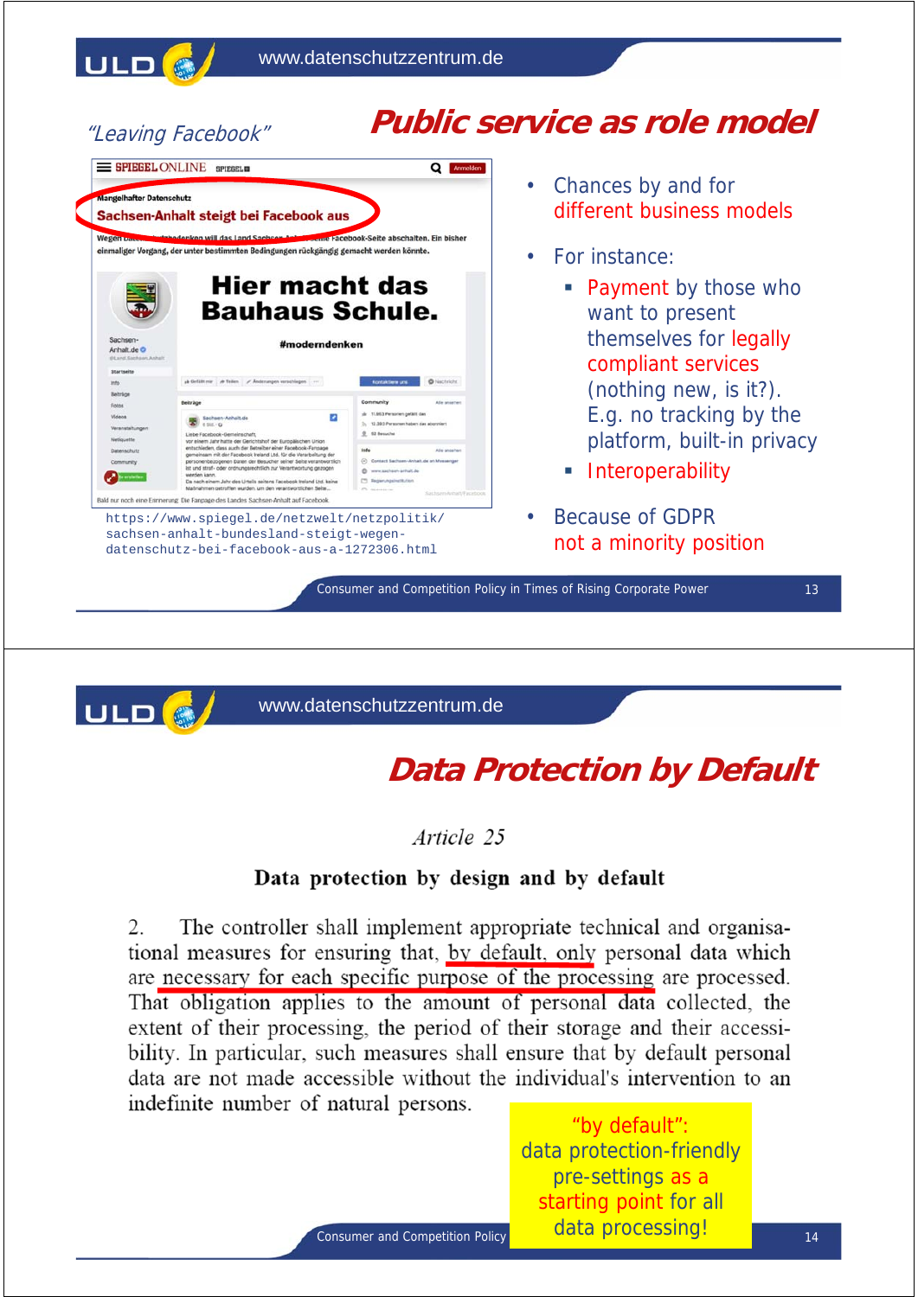

#### "Leaving Facebook"

## **Public service as role model**



- Chances by and for different business models
- For instance:
	- Payment by those who want to present themselves for legally compliant services (nothing new, is it?). E.g. no tracking by the platform, built-in privacy
	- **Interoperability**
- Because of GDPR not a minority position

Consumer and Competition Policy in Times of Rising Corporate Power 13



www.datenschutzzentrum.de

## **Data Protection by Default**

Article 25

#### Data protection by design and by default

The controller shall implement appropriate technical and organisa-2. tional measures for ensuring that, by default, only personal data which are necessary for each specific purpose of the processing are processed. That obligation applies to the amount of personal data collected, the extent of their processing, the period of their storage and their accessibility. In particular, such measures shall ensure that by default personal data are not made accessible without the individual's intervention to an indefinite number of natural persons.

> "by default": data protection-friendly pre-settings as a starting point for all data processing!